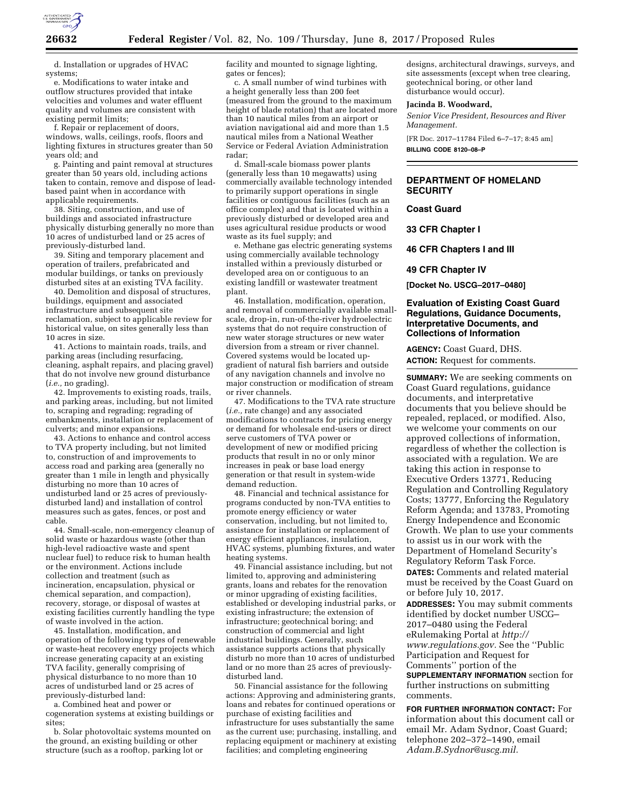

d. Installation or upgrades of HVAC systems;

e. Modifications to water intake and outflow structures provided that intake velocities and volumes and water effluent quality and volumes are consistent with existing permit limits;

f. Repair or replacement of doors, windows, walls, ceilings, roofs, floors and lighting fixtures in structures greater than 50 years old; and

g. Painting and paint removal at structures greater than 50 years old, including actions taken to contain, remove and dispose of leadbased paint when in accordance with applicable requirements.

38. Siting, construction, and use of buildings and associated infrastructure physically disturbing generally no more than 10 acres of undisturbed land or 25 acres of previously-disturbed land.

39. Siting and temporary placement and operation of trailers, prefabricated and modular buildings, or tanks on previously disturbed sites at an existing TVA facility.

40. Demolition and disposal of structures, buildings, equipment and associated infrastructure and subsequent site reclamation, subject to applicable review for historical value, on sites generally less than 10 acres in size.

41. Actions to maintain roads, trails, and parking areas (including resurfacing, cleaning, asphalt repairs, and placing gravel) that do not involve new ground disturbance (*i.e.,* no grading).

42. Improvements to existing roads, trails, and parking areas, including, but not limited to, scraping and regrading; regrading of embankments, installation or replacement of culverts; and minor expansions.

43. Actions to enhance and control access to TVA property including, but not limited to, construction of and improvements to access road and parking area (generally no greater than 1 mile in length and physically disturbing no more than 10 acres of undisturbed land or 25 acres of previouslydisturbed land) and installation of control measures such as gates, fences, or post and cable.

44. Small-scale, non-emergency cleanup of solid waste or hazardous waste (other than high-level radioactive waste and spent nuclear fuel) to reduce risk to human health or the environment. Actions include collection and treatment (such as incineration, encapsulation, physical or chemical separation, and compaction), recovery, storage, or disposal of wastes at existing facilities currently handling the type of waste involved in the action.

45. Installation, modification, and operation of the following types of renewable or waste-heat recovery energy projects which increase generating capacity at an existing TVA facility, generally comprising of physical disturbance to no more than 10 acres of undisturbed land or 25 acres of previously-disturbed land:

a. Combined heat and power or cogeneration systems at existing buildings or sites;

b. Solar photovoltaic systems mounted on the ground, an existing building or other structure (such as a rooftop, parking lot or

facility and mounted to signage lighting, gates or fences);

c. A small number of wind turbines with a height generally less than 200 feet (measured from the ground to the maximum height of blade rotation) that are located more than 10 nautical miles from an airport or aviation navigational aid and more than 1.5 nautical miles from a National Weather Service or Federal Aviation Administration radar;

d. Small-scale biomass power plants (generally less than 10 megawatts) using commercially available technology intended to primarily support operations in single facilities or contiguous facilities (such as an office complex) and that is located within a previously disturbed or developed area and uses agricultural residue products or wood waste as its fuel supply; and

e. Methane gas electric generating systems using commercially available technology installed within a previously disturbed or developed area on or contiguous to an existing landfill or wastewater treatment plant.

46. Installation, modification, operation, and removal of commercially available smallscale, drop-in, run-of-the-river hydroelectric systems that do not require construction of new water storage structures or new water diversion from a stream or river channel. Covered systems would be located upgradient of natural fish barriers and outside of any navigation channels and involve no major construction or modification of stream or river channels.

47. Modifications to the TVA rate structure (*i.e.,* rate change) and any associated modifications to contracts for pricing energy or demand for wholesale end-users or direct serve customers of TVA power or development of new or modified pricing products that result in no or only minor increases in peak or base load energy generation or that result in system-wide demand reduction.

48. Financial and technical assistance for programs conducted by non-TVA entities to promote energy efficiency or water conservation, including, but not limited to, assistance for installation or replacement of energy efficient appliances, insulation, HVAC systems, plumbing fixtures, and water heating systems.

49. Financial assistance including, but not limited to, approving and administering grants, loans and rebates for the renovation or minor upgrading of existing facilities, established or developing industrial parks, or existing infrastructure; the extension of infrastructure; geotechnical boring; and construction of commercial and light industrial buildings. Generally, such assistance supports actions that physically disturb no more than 10 acres of undisturbed land or no more than 25 acres of previouslydisturbed land.

50. Financial assistance for the following actions: Approving and administering grants, loans and rebates for continued operations or purchase of existing facilities and infrastructure for uses substantially the same as the current use; purchasing, installing, and replacing equipment or machinery at existing facilities; and completing engineering

designs, architectural drawings, surveys, and site assessments (except when tree clearing, geotechnical boring, or other land disturbance would occur).

## **Jacinda B. Woodward,**

*Senior Vice President, Resources and River Management.* 

[FR Doc. 2017–11784 Filed 6–7–17; 8:45 am] **BILLING CODE 8120–08–P** 

# **DEPARTMENT OF HOMELAND SECURITY**

#### **Coast Guard**

**33 CFR Chapter I** 

**46 CFR Chapters I and III** 

**49 CFR Chapter IV** 

**[Docket No. USCG–2017–0480]** 

## **Evaluation of Existing Coast Guard Regulations, Guidance Documents, Interpretative Documents, and Collections of Information**

**AGENCY:** Coast Guard, DHS. **ACTION:** Request for comments.

**SUMMARY:** We are seeking comments on Coast Guard regulations, guidance documents, and interpretative documents that you believe should be repealed, replaced, or modified. Also, we welcome your comments on our approved collections of information, regardless of whether the collection is associated with a regulation. We are taking this action in response to Executive Orders 13771, Reducing Regulation and Controlling Regulatory Costs; 13777, Enforcing the Regulatory Reform Agenda; and 13783, Promoting Energy Independence and Economic Growth. We plan to use your comments to assist us in our work with the Department of Homeland Security's Regulatory Reform Task Force. **DATES:** Comments and related material must be received by the Coast Guard on or before July 10, 2017.

**ADDRESSES:** You may submit comments identified by docket number USCG– 2017–0480 using the Federal eRulemaking Portal at *[http://](http://www.regulations.gov) [www.regulations.gov.](http://www.regulations.gov)* See the ''Public Participation and Request for Comments'' portion of the

**SUPPLEMENTARY INFORMATION** section for further instructions on submitting comments.

**FOR FURTHER INFORMATION CONTACT:** For information about this document call or email Mr. Adam Sydnor, Coast Guard; telephone 202–372–1490, email *[Adam.B.Sydnor@uscg.mil.](mailto:Adam.B.Sydnor@uscg.mil)*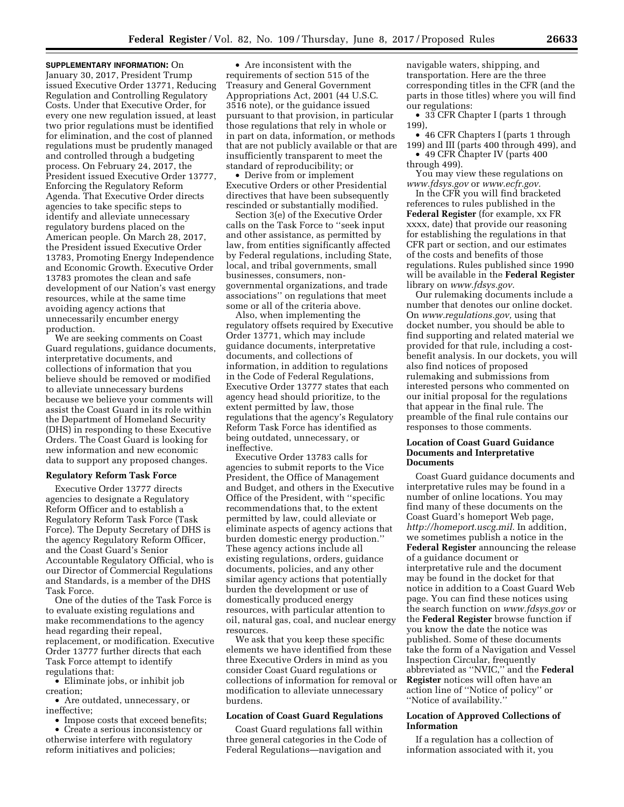January 30, 2017, President Trump issued Executive Order 13771, Reducing Regulation and Controlling Regulatory Costs. Under that Executive Order, for every one new regulation issued, at least two prior regulations must be identified for elimination, and the cost of planned regulations must be prudently managed and controlled through a budgeting process. On February 24, 2017, the President issued Executive Order 13777, Enforcing the Regulatory Reform Agenda. That Executive Order directs agencies to take specific steps to identify and alleviate unnecessary regulatory burdens placed on the American people. On March 28, 2017, the President issued Executive Order 13783, Promoting Energy Independence and Economic Growth. Executive Order 13783 promotes the clean and safe development of our Nation's vast energy resources, while at the same time avoiding agency actions that unnecessarily encumber energy production.

We are seeking comments on Coast Guard regulations, guidance documents, interpretative documents, and collections of information that you believe should be removed or modified to alleviate unnecessary burdens because we believe your comments will assist the Coast Guard in its role within the Department of Homeland Security (DHS) in responding to these Executive Orders. The Coast Guard is looking for new information and new economic data to support any proposed changes.

#### **Regulatory Reform Task Force**

Executive Order 13777 directs agencies to designate a Regulatory Reform Officer and to establish a Regulatory Reform Task Force (Task Force). The Deputy Secretary of DHS is the agency Regulatory Reform Officer, and the Coast Guard's Senior Accountable Regulatory Official, who is our Director of Commercial Regulations and Standards, is a member of the DHS Task Force.

One of the duties of the Task Force is to evaluate existing regulations and make recommendations to the agency head regarding their repeal, replacement, or modification. Executive Order 13777 further directs that each Task Force attempt to identify regulations that:

• Eliminate jobs, or inhibit job creation;

• Are outdated, unnecessary, or ineffective;

• Impose costs that exceed benefits;

• Create a serious inconsistency or otherwise interfere with regulatory reform initiatives and policies;

• Are inconsistent with the requirements of section 515 of the Treasury and General Government Appropriations Act, 2001 (44 U.S.C. 3516 note), or the guidance issued pursuant to that provision, in particular those regulations that rely in whole or in part on data, information, or methods that are not publicly available or that are insufficiently transparent to meet the standard of reproducibility; or

• Derive from or implement Executive Orders or other Presidential directives that have been subsequently rescinded or substantially modified.

Section 3(e) of the Executive Order calls on the Task Force to ''seek input and other assistance, as permitted by law, from entities significantly affected by Federal regulations, including State, local, and tribal governments, small businesses, consumers, nongovernmental organizations, and trade associations'' on regulations that meet some or all of the criteria above.

Also, when implementing the regulatory offsets required by Executive Order 13771, which may include guidance documents, interpretative documents, and collections of information, in addition to regulations in the Code of Federal Regulations, Executive Order 13777 states that each agency head should prioritize, to the extent permitted by law, those regulations that the agency's Regulatory Reform Task Force has identified as being outdated, unnecessary, or ineffective.

Executive Order 13783 calls for agencies to submit reports to the Vice President, the Office of Management and Budget, and others in the Executive Office of the President, with ''specific recommendations that, to the extent permitted by law, could alleviate or eliminate aspects of agency actions that burden domestic energy production.'' These agency actions include all existing regulations, orders, guidance documents, policies, and any other similar agency actions that potentially burden the development or use of domestically produced energy resources, with particular attention to oil, natural gas, coal, and nuclear energy resources.

We ask that you keep these specific elements we have identified from these three Executive Orders in mind as you consider Coast Guard regulations or collections of information for removal or modification to alleviate unnecessary burdens.

## **Location of Coast Guard Regulations**

Coast Guard regulations fall within three general categories in the Code of Federal Regulations—navigation and

navigable waters, shipping, and transportation. Here are the three corresponding titles in the CFR (and the parts in those titles) where you will find our regulations:

• 33 CFR Chapter I (parts 1 through 199),

• 46 CFR Chapters I (parts 1 through 199) and III (parts 400 through 499), and • 49 CFR Chapter IV (parts 400

through 499). You may view these regulations on *[www.fdsys.gov](http://www.fdsys.gov)* or *[www.ecfr.gov.](http://www.ecfr.gov)* 

In the CFR you will find bracketed references to rules published in the **Federal Register** (for example, xx FR xxxx, date) that provide our reasoning for establishing the regulations in that CFR part or section, and our estimates of the costs and benefits of those regulations. Rules published since 1990 will be available in the **Federal Register**  library on *[www.fdsys.gov.](http://www.fdsys.gov)* 

Our rulemaking documents include a number that denotes our online docket. On *[www.regulations.gov,](http://www.regulations.gov)* using that docket number, you should be able to find supporting and related material we provided for that rule, including a costbenefit analysis. In our dockets, you will also find notices of proposed rulemaking and submissions from interested persons who commented on our initial proposal for the regulations that appear in the final rule. The preamble of the final rule contains our responses to those comments.

## **Location of Coast Guard Guidance Documents and Interpretative Documents**

Coast Guard guidance documents and interpretative rules may be found in a number of online locations. You may find many of these documents on the Coast Guard's homeport Web page, *[http://homeport.uscg.mil.](http://homeport.uscg.mil)* In addition, we sometimes publish a notice in the **Federal Register** announcing the release of a guidance document or interpretative rule and the document may be found in the docket for that notice in addition to a Coast Guard Web page. You can find these notices using the search function on *[www.fdsys.gov](http://www.fdsys.gov)* or the **Federal Register** browse function if you know the date the notice was published. Some of these documents take the form of a Navigation and Vessel Inspection Circular, frequently abbreviated as ''NVIC,'' and the **Federal Register** notices will often have an action line of ''Notice of policy'' or ''Notice of availability.''

# **Location of Approved Collections of Information**

If a regulation has a collection of information associated with it, you